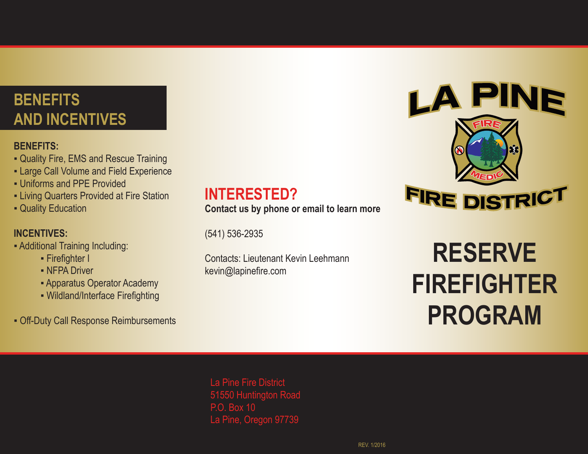## **BENEFITS AND INCENTIVES**

#### **BENEFITS:**

- **▪** Quality Fire, EMS and Rescue Training
- **▪** Large Call Volume and Field Experience
- **▪** Uniforms and PPE Provided
- **▪** Living Quarters Provided at Fire Station
- **▪** Quality Education

### **INCENTIVES:**

- **▪** Additional Training Including:
	- **▪** Firefighter I
	- **▪** NFPA Driver
	- **▪** Apparatus Operator Academy
	- **▪** Wildland/Interface Firefighting
- **▪** Off-Duty Call Response Reimbursements

### **INTERESTED?**

**Contact us by phone or email to learn more**

(541) 536-2935

Contacts: Lieutenant Kevin Leehmann kevin@lapinefire.com



# **RESERVE FIREFIGHTER PROGRAM**

La Pine Fire District 51550 Huntington Road P.O. Box 10 La Pine, Oregon 97739